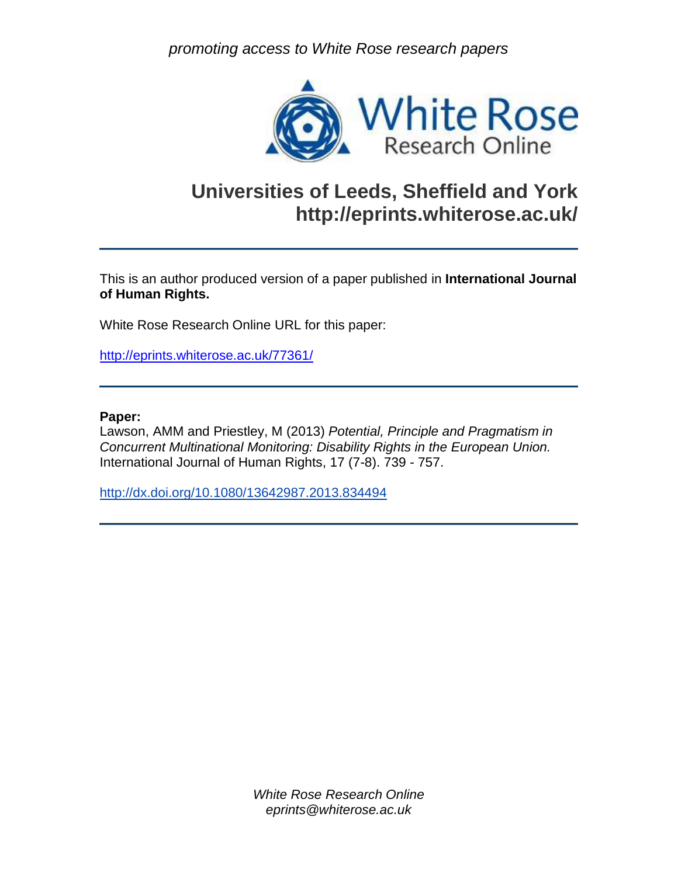*promoting access to White Rose research papers*



# **Universities of Leeds, Sheffield and York http://eprints.whiterose.ac.uk/**

This is an author produced version of a paper published in **International Journal of Human Rights.**

White Rose Research Online URL for this paper:

<http://eprints.whiterose.ac.uk/77361/>

#### **Paper:**

Lawson, AMM and Priestley, M (2013) *Potential, Principle and Pragmatism in Concurrent Multinational Monitoring: Disability Rights in the European Union.* International Journal of Human Rights, 17 (7-8). 739 - 757.

<http://dx.doi.org/10.1080/13642987.2013.834494>

*White Rose Research Online eprints@whiterose.ac.uk*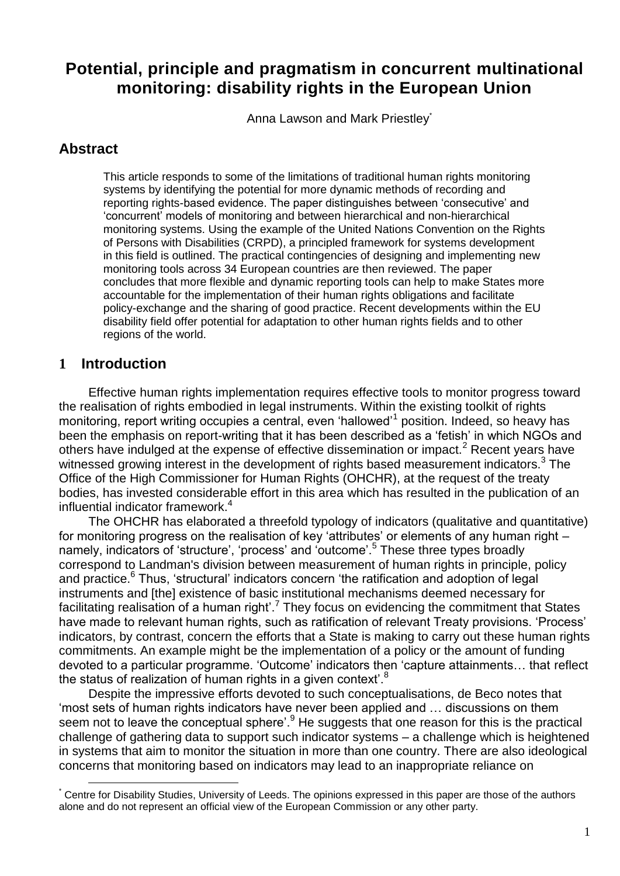## **Potential, principle and pragmatism in concurrent multinational monitoring: disability rights in the European Union**

Anna Lawson and Mark Priestley\*

## **Abstract**

This article responds to some of the limitations of traditional human rights monitoring systems by identifying the potential for more dynamic methods of recording and reporting rights-based evidence. The paper distinguishes between 'consecutive' and 'concurrent' models of monitoring and between hierarchical and non-hierarchical monitoring systems. Using the example of the United Nations Convention on the Rights of Persons with Disabilities (CRPD), a principled framework for systems development in this field is outlined. The practical contingencies of designing and implementing new monitoring tools across 34 European countries are then reviewed. The paper concludes that more flexible and dynamic reporting tools can help to make States more accountable for the implementation of their human rights obligations and facilitate policy-exchange and the sharing of good practice. Recent developments within the EU disability field offer potential for adaptation to other human rights fields and to other regions of the world.

## **1 Introduction**

 $\overline{a}$ 

Effective human rights implementation requires effective tools to monitor progress toward the realisation of rights embodied in legal instruments. Within the existing toolkit of rights monitoring, report writing occupies a central, even 'hallowed'<sup>1</sup> position. Indeed, so heavy has been the emphasis on report-writing that it has been described as a 'fetish' in which NGOs and others have indulged at the expense of effective dissemination or impact.<sup>2</sup> Recent years have witnessed growing interest in the development of rights based measurement indicators. $3$  The Office of the High Commissioner for Human Rights (OHCHR), at the request of the treaty bodies, has invested considerable effort in this area which has resulted in the publication of an influential indicator framework. 4

The OHCHR has elaborated a threefold typology of indicators (qualitative and quantitative) for monitoring progress on the realisation of key 'attributes' or elements of any human right – namely, indicators of 'structure', 'process' and 'outcome'.<sup>5</sup> These three types broadly correspond to Landman's division between measurement of human rights in principle, policy and practice.<sup>6</sup> Thus, 'structural' indicators concern 'the ratification and adoption of legal instruments and [the] existence of basic institutional mechanisms deemed necessary for facilitating realisation of a human right'.<sup>7</sup> They focus on evidencing the commitment that States have made to relevant human rights, such as ratification of relevant Treaty provisions. 'Process' indicators, by contrast, concern the efforts that a State is making to carry out these human rights commitments. An example might be the implementation of a policy or the amount of funding devoted to a particular programme. 'Outcome' indicators then 'capture attainments… that reflect the status of realization of human rights in a given context<sup>'.8</sup>

Despite the impressive efforts devoted to such conceptualisations, de Beco notes that 'most sets of human rights indicators have never been applied and … discussions on them seem not to leave the conceptual sphere'.<sup>9</sup> He suggests that one reason for this is the practical challenge of gathering data to support such indicator systems – a challenge which is heightened in systems that aim to monitor the situation in more than one country. There are also ideological concerns that monitoring based on indicators may lead to an inappropriate reliance on

<sup>\*</sup> Centre for Disability Studies, University of Leeds. The opinions expressed in this paper are those of the authors alone and do not represent an official view of the European Commission or any other party.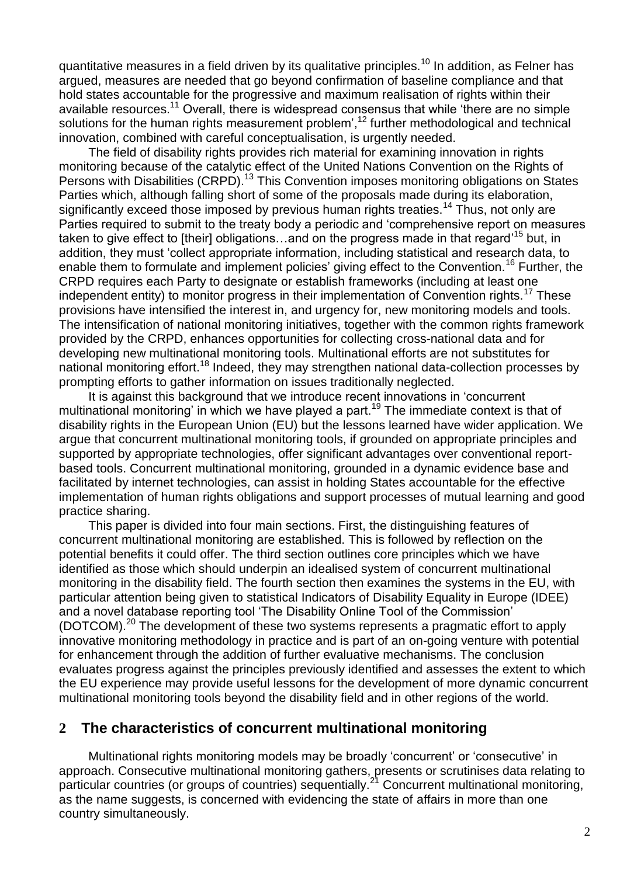quantitative measures in a field driven by its qualitative principles.<sup>10</sup> In addition, as Felner has argued, measures are needed that go beyond confirmation of baseline compliance and that hold states accountable for the progressive and maximum realisation of rights within their available resources.<sup>11</sup> Overall, there is widespread consensus that while 'there are no simple solutions for the human rights measurement problem',<sup>12</sup> further methodological and technical innovation, combined with careful conceptualisation, is urgently needed.

The field of disability rights provides rich material for examining innovation in rights monitoring because of the catalytic effect of the United Nations Convention on the Rights of Persons with Disabilities (CRPD).<sup>13</sup> This Convention imposes monitoring obligations on States Parties which, although falling short of some of the proposals made during its elaboration, significantly exceed those imposed by previous human rights treaties.<sup>14</sup> Thus, not only are Parties required to submit to the treaty body a periodic and 'comprehensive report on measures taken to give effect to [their] obligations...and on the progress made in that regard'<sup>15</sup> but, in addition, they must 'collect appropriate information, including statistical and research data, to enable them to formulate and implement policies' giving effect to the Convention.<sup>16</sup> Further, the CRPD requires each Party to designate or establish frameworks (including at least one independent entity) to monitor progress in their implementation of Convention rights.<sup>17</sup> These provisions have intensified the interest in, and urgency for, new monitoring models and tools. The intensification of national monitoring initiatives, together with the common rights framework provided by the CRPD, enhances opportunities for collecting cross-national data and for developing new multinational monitoring tools. Multinational efforts are not substitutes for national monitoring effort.<sup>18</sup> Indeed, they may strengthen national data-collection processes by prompting efforts to gather information on issues traditionally neglected.

It is against this background that we introduce recent innovations in 'concurrent multinational monitoring' in which we have played a part.<sup>19</sup> The immediate context is that of disability rights in the European Union (EU) but the lessons learned have wider application. We argue that concurrent multinational monitoring tools, if grounded on appropriate principles and supported by appropriate technologies, offer significant advantages over conventional reportbased tools. Concurrent multinational monitoring, grounded in a dynamic evidence base and facilitated by internet technologies, can assist in holding States accountable for the effective implementation of human rights obligations and support processes of mutual learning and good practice sharing.

This paper is divided into four main sections. First, the distinguishing features of concurrent multinational monitoring are established. This is followed by reflection on the potential benefits it could offer. The third section outlines core principles which we have identified as those which should underpin an idealised system of concurrent multinational monitoring in the disability field. The fourth section then examines the systems in the EU, with particular attention being given to statistical Indicators of Disability Equality in Europe (IDEE) and a novel database reporting tool 'The Disability Online Tool of the Commission' (DOTCOM).<sup>20</sup> The development of these two systems represents a pragmatic effort to apply innovative monitoring methodology in practice and is part of an on-going venture with potential for enhancement through the addition of further evaluative mechanisms. The conclusion evaluates progress against the principles previously identified and assesses the extent to which the EU experience may provide useful lessons for the development of more dynamic concurrent multinational monitoring tools beyond the disability field and in other regions of the world.

## **2 The characteristics of concurrent multinational monitoring**

Multinational rights monitoring models may be broadly 'concurrent' or 'consecutive' in approach. Consecutive multinational monitoring gathers, presents or scrutinises data relating to particular countries (or groups of countries) sequentially.<sup>21</sup> Concurrent multinational monitoring, as the name suggests, is concerned with evidencing the state of affairs in more than one country simultaneously.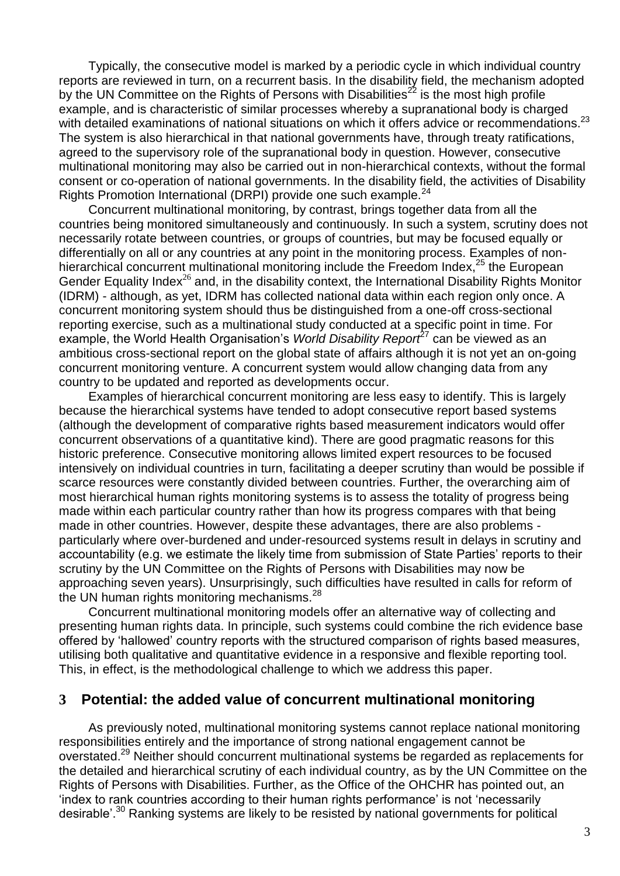Typically, the consecutive model is marked by a periodic cycle in which individual country reports are reviewed in turn, on a recurrent basis. In the disability field, the mechanism adopted by the UN Committee on the Rights of Persons with Disabilities<sup>22</sup> is the most high profile example, and is characteristic of similar processes whereby a supranational body is charged with detailed examinations of national situations on which it offers advice or recommendations.<sup>23</sup> The system is also hierarchical in that national governments have, through treaty ratifications, agreed to the supervisory role of the supranational body in question. However, consecutive multinational monitoring may also be carried out in non-hierarchical contexts, without the formal consent or co-operation of national governments. In the disability field, the activities of Disability Rights Promotion International (DRPI) provide one such example.<sup>24</sup>

Concurrent multinational monitoring, by contrast, brings together data from all the countries being monitored simultaneously and continuously. In such a system, scrutiny does not necessarily rotate between countries, or groups of countries, but may be focused equally or differentially on all or any countries at any point in the monitoring process. Examples of nonhierarchical concurrent multinational monitoring include the Freedom Index,<sup>25</sup> the European Gender Equality Index<sup>26</sup> and, in the disability context, the International Disability Rights Monitor (IDRM) - although, as yet, IDRM has collected national data within each region only once. A concurrent monitoring system should thus be distinguished from a one-off cross-sectional reporting exercise, such as a multinational study conducted at a specific point in time. For example, the World Health Organisation's *World Disability Report*<sup>27</sup> can be viewed as an ambitious cross-sectional report on the global state of affairs although it is not yet an on-going concurrent monitoring venture. A concurrent system would allow changing data from any country to be updated and reported as developments occur.

Examples of hierarchical concurrent monitoring are less easy to identify. This is largely because the hierarchical systems have tended to adopt consecutive report based systems (although the development of comparative rights based measurement indicators would offer concurrent observations of a quantitative kind). There are good pragmatic reasons for this historic preference. Consecutive monitoring allows limited expert resources to be focused intensively on individual countries in turn, facilitating a deeper scrutiny than would be possible if scarce resources were constantly divided between countries. Further, the overarching aim of most hierarchical human rights monitoring systems is to assess the totality of progress being made within each particular country rather than how its progress compares with that being made in other countries. However, despite these advantages, there are also problems particularly where over-burdened and under-resourced systems result in delays in scrutiny and accountability (e.g. we estimate the likely time from submission of State Parties' reports to their scrutiny by the UN Committee on the Rights of Persons with Disabilities may now be approaching seven years). Unsurprisingly, such difficulties have resulted in calls for reform of the UN human rights monitoring mechanisms.<sup>28</sup>

Concurrent multinational monitoring models offer an alternative way of collecting and presenting human rights data. In principle, such systems could combine the rich evidence base offered by 'hallowed' country reports with the structured comparison of rights based measures, utilising both qualitative and quantitative evidence in a responsive and flexible reporting tool. This, in effect, is the methodological challenge to which we address this paper.

#### **3 Potential: the added value of concurrent multinational monitoring**

As previously noted, multinational monitoring systems cannot replace national monitoring responsibilities entirely and the importance of strong national engagement cannot be overstated.<sup>29</sup> Neither should concurrent multinational systems be regarded as replacements for the detailed and hierarchical scrutiny of each individual country, as by the UN Committee on the Rights of Persons with Disabilities. Further, as the Office of the OHCHR has pointed out, an 'index to rank countries according to their human rights performance' is not 'necessarily desirable'.<sup>30</sup> Ranking systems are likely to be resisted by national governments for political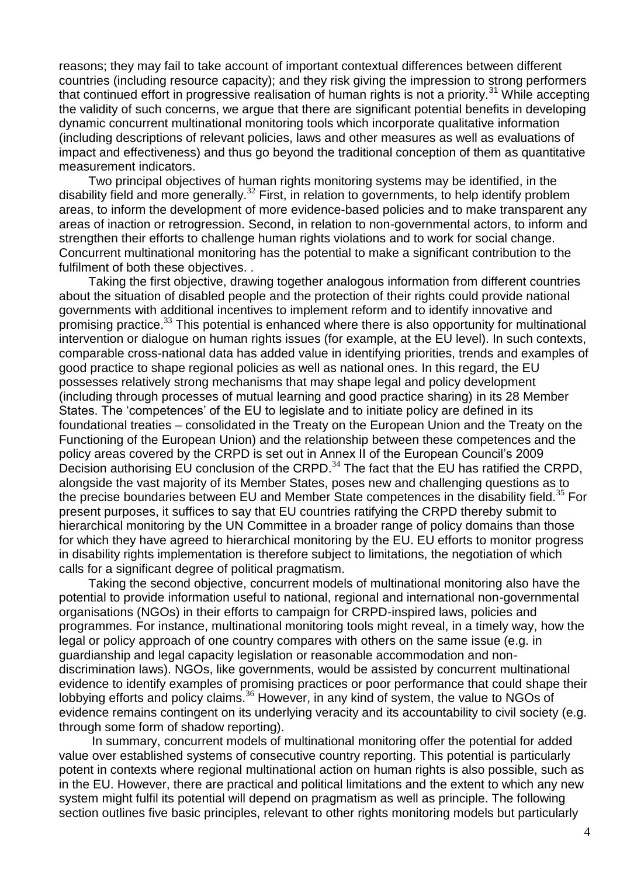reasons; they may fail to take account of important contextual differences between different countries (including resource capacity); and they risk giving the impression to strong performers that continued effort in progressive realisation of human rights is not a priority.<sup>31</sup> While accepting the validity of such concerns, we argue that there are significant potential benefits in developing dynamic concurrent multinational monitoring tools which incorporate qualitative information (including descriptions of relevant policies, laws and other measures as well as evaluations of impact and effectiveness) and thus go beyond the traditional conception of them as quantitative measurement indicators.

Two principal objectives of human rights monitoring systems may be identified, in the disability field and more generally.<sup>32</sup> First, in relation to governments, to help identify problem areas, to inform the development of more evidence-based policies and to make transparent any areas of inaction or retrogression. Second, in relation to non-governmental actors, to inform and strengthen their efforts to challenge human rights violations and to work for social change. Concurrent multinational monitoring has the potential to make a significant contribution to the fulfilment of both these objectives. .

Taking the first objective, drawing together analogous information from different countries about the situation of disabled people and the protection of their rights could provide national governments with additional incentives to implement reform and to identify innovative and promising practice.<sup>33</sup> This potential is enhanced where there is also opportunity for multinational intervention or dialogue on human rights issues (for example, at the EU level). In such contexts, comparable cross-national data has added value in identifying priorities, trends and examples of good practice to shape regional policies as well as national ones. In this regard, the EU possesses relatively strong mechanisms that may shape legal and policy development (including through processes of mutual learning and good practice sharing) in its 28 Member States. The 'competences' of the EU to legislate and to initiate policy are defined in its foundational treaties – consolidated in the Treaty on the European Union and the Treaty on the Functioning of the European Union) and the relationship between these competences and the policy areas covered by the CRPD is set out in Annex II of the European Council's 2009 Decision authorising  $E\dot{U}$  conclusion of the CRPD.<sup>34</sup> The fact that the EU has ratified the CRPD, alongside the vast majority of its Member States, poses new and challenging questions as to the precise boundaries between EU and Member State competences in the disability field.<sup>35</sup> For present purposes, it suffices to say that EU countries ratifying the CRPD thereby submit to hierarchical monitoring by the UN Committee in a broader range of policy domains than those for which they have agreed to hierarchical monitoring by the EU. EU efforts to monitor progress in disability rights implementation is therefore subject to limitations, the negotiation of which calls for a significant degree of political pragmatism.

Taking the second objective, concurrent models of multinational monitoring also have the potential to provide information useful to national, regional and international non-governmental organisations (NGOs) in their efforts to campaign for CRPD-inspired laws, policies and programmes. For instance, multinational monitoring tools might reveal, in a timely way, how the legal or policy approach of one country compares with others on the same issue (e.g. in guardianship and legal capacity legislation or reasonable accommodation and nondiscrimination laws). NGOs, like governments, would be assisted by concurrent multinational evidence to identify examples of promising practices or poor performance that could shape their lobbying efforts and policy claims.<sup>36</sup> However, in any kind of system, the value to NGOs of evidence remains contingent on its underlying veracity and its accountability to civil society (e.g. through some form of shadow reporting).

In summary, concurrent models of multinational monitoring offer the potential for added value over established systems of consecutive country reporting. This potential is particularly potent in contexts where regional multinational action on human rights is also possible, such as in the EU. However, there are practical and political limitations and the extent to which any new system might fulfil its potential will depend on pragmatism as well as principle. The following section outlines five basic principles, relevant to other rights monitoring models but particularly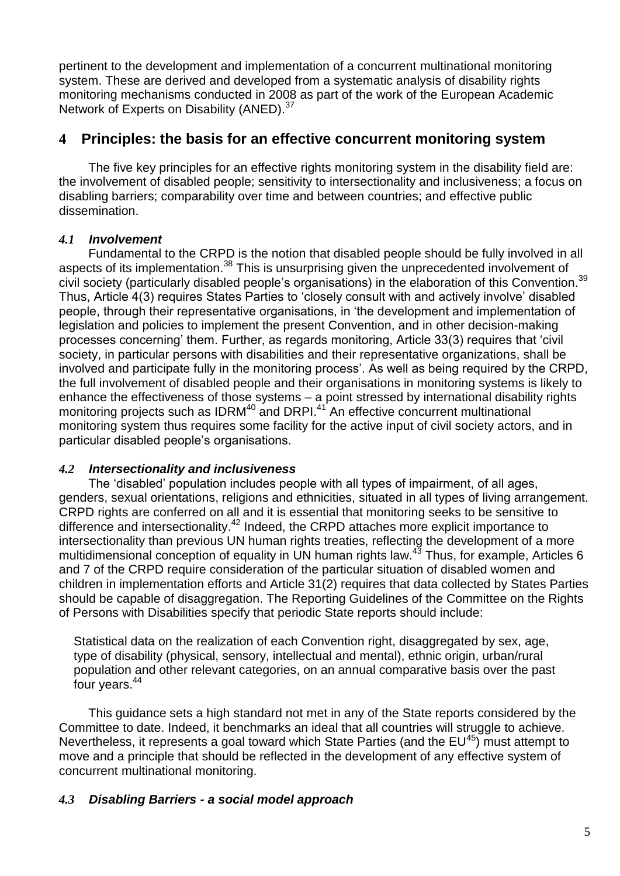pertinent to the development and implementation of a concurrent multinational monitoring system. These are derived and developed from a systematic analysis of disability rights monitoring mechanisms conducted in 2008 as part of the work of the European Academic Network of Experts on Disability (ANED).<sup>37</sup>

## **4 Principles: the basis for an effective concurrent monitoring system**

The five key principles for an effective rights monitoring system in the disability field are: the involvement of disabled people; sensitivity to intersectionality and inclusiveness; a focus on disabling barriers; comparability over time and between countries; and effective public dissemination.

## *4.1 Involvement*

Fundamental to the CRPD is the notion that disabled people should be fully involved in all aspects of its implementation.<sup>38</sup> This is unsurprising given the unprecedented involvement of civil society (particularly disabled people's organisations) in the elaboration of this Convention.<sup>39</sup> Thus, Article 4(3) requires States Parties to 'closely consult with and actively involve' disabled people, through their representative organisations, in 'the development and implementation of legislation and policies to implement the present Convention, and in other decision-making processes concerning' them. Further, as regards monitoring, Article 33(3) requires that 'civil society, in particular persons with disabilities and their representative organizations, shall be involved and participate fully in the monitoring process'. As well as being required by the CRPD, the full involvement of disabled people and their organisations in monitoring systems is likely to enhance the effectiveness of those systems – a point stressed by international disability rights monitoring projects such as IDRM<sup>40</sup> and DRPI.<sup>41</sup> An effective concurrent multinational monitoring system thus requires some facility for the active input of civil society actors, and in particular disabled people's organisations.

#### *4.2 Intersectionality and inclusiveness*

The 'disabled' population includes people with all types of impairment, of all ages, genders, sexual orientations, religions and ethnicities, situated in all types of living arrangement. CRPD rights are conferred on all and it is essential that monitoring seeks to be sensitive to difference and intersectionality.<sup>42</sup> Indeed, the CRPD attaches more explicit importance to intersectionality than previous UN human rights treaties, reflecting the development of a more multidimensional conception of equality in UN human rights law.<sup>43</sup> Thus, for example, Articles 6 and 7 of the CRPD require consideration of the particular situation of disabled women and children in implementation efforts and Article 31(2) requires that data collected by States Parties should be capable of disaggregation. The Reporting Guidelines of the Committee on the Rights of Persons with Disabilities specify that periodic State reports should include:

Statistical data on the realization of each Convention right, disaggregated by sex, age, type of disability (physical, sensory, intellectual and mental), ethnic origin, urban/rural population and other relevant categories, on an annual comparative basis over the past four years.<sup>44</sup>

This guidance sets a high standard not met in any of the State reports considered by the Committee to date. Indeed, it benchmarks an ideal that all countries will struggle to achieve. Nevertheless, it represents a goal toward which State Parties (and the  $EU^{45}$ ) must attempt to move and a principle that should be reflected in the development of any effective system of concurrent multinational monitoring.

## *4.3 Disabling Barriers - a social model approach*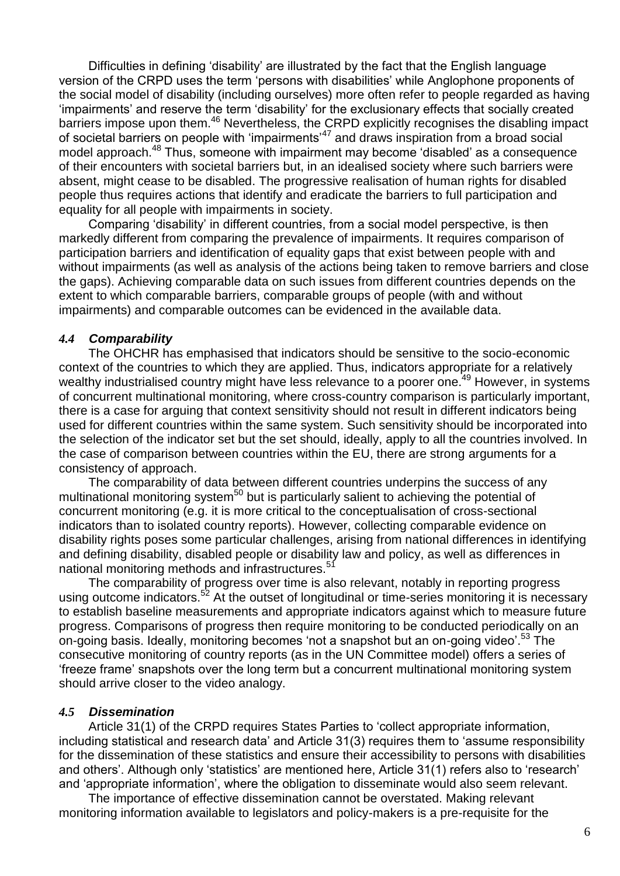Difficulties in defining 'disability' are illustrated by the fact that the English language version of the CRPD uses the term 'persons with disabilities' while Anglophone proponents of the social model of disability (including ourselves) more often refer to people regarded as having 'impairments' and reserve the term 'disability' for the exclusionary effects that socially created barriers impose upon them.<sup>46</sup> Nevertheless, the CRPD explicitly recognises the disabling impact of societal barriers on people with 'impairments'<sup>47</sup> and draws inspiration from a broad social model approach.<sup>48</sup> Thus, someone with impairment may become 'disabled' as a consequence of their encounters with societal barriers but, in an idealised society where such barriers were absent, might cease to be disabled. The progressive realisation of human rights for disabled people thus requires actions that identify and eradicate the barriers to full participation and equality for all people with impairments in society.

Comparing 'disability' in different countries, from a social model perspective, is then markedly different from comparing the prevalence of impairments. It requires comparison of participation barriers and identification of equality gaps that exist between people with and without impairments (as well as analysis of the actions being taken to remove barriers and close the gaps). Achieving comparable data on such issues from different countries depends on the extent to which comparable barriers, comparable groups of people (with and without impairments) and comparable outcomes can be evidenced in the available data.

#### *4.4 Comparability*

The OHCHR has emphasised that indicators should be sensitive to the socio-economic context of the countries to which they are applied. Thus, indicators appropriate for a relatively wealthy industrialised country might have less relevance to a poorer one.<sup>49</sup> However, in systems of concurrent multinational monitoring, where cross-country comparison is particularly important, there is a case for arguing that context sensitivity should not result in different indicators being used for different countries within the same system. Such sensitivity should be incorporated into the selection of the indicator set but the set should, ideally, apply to all the countries involved. In the case of comparison between countries within the EU, there are strong arguments for a consistency of approach.

The comparability of data between different countries underpins the success of any multinational monitoring system<sup>50</sup> but is particularly salient to achieving the potential of concurrent monitoring (e.g. it is more critical to the conceptualisation of cross-sectional indicators than to isolated country reports). However, collecting comparable evidence on disability rights poses some particular challenges, arising from national differences in identifying and defining disability, disabled people or disability law and policy, as well as differences in national monitoring methods and infrastructures.<sup>51</sup>

The comparability of progress over time is also relevant, notably in reporting progress using outcome indicators.<sup>52</sup> At the outset of longitudinal or time-series monitoring it is necessary to establish baseline measurements and appropriate indicators against which to measure future progress. Comparisons of progress then require monitoring to be conducted periodically on an on-going basis. Ideally, monitoring becomes 'not a snapshot but an on-going video'.<sup>53</sup> The consecutive monitoring of country reports (as in the UN Committee model) offers a series of 'freeze frame' snapshots over the long term but a concurrent multinational monitoring system should arrive closer to the video analogy.

#### *4.5 Dissemination*

Article 31(1) of the CRPD requires States Parties to 'collect appropriate information, including statistical and research data' and Article 31(3) requires them to 'assume responsibility for the dissemination of these statistics and ensure their accessibility to persons with disabilities and others'. Although only 'statistics' are mentioned here, Article 31(1) refers also to 'research' and 'appropriate information', where the obligation to disseminate would also seem relevant.

The importance of effective dissemination cannot be overstated. Making relevant monitoring information available to legislators and policy-makers is a pre-requisite for the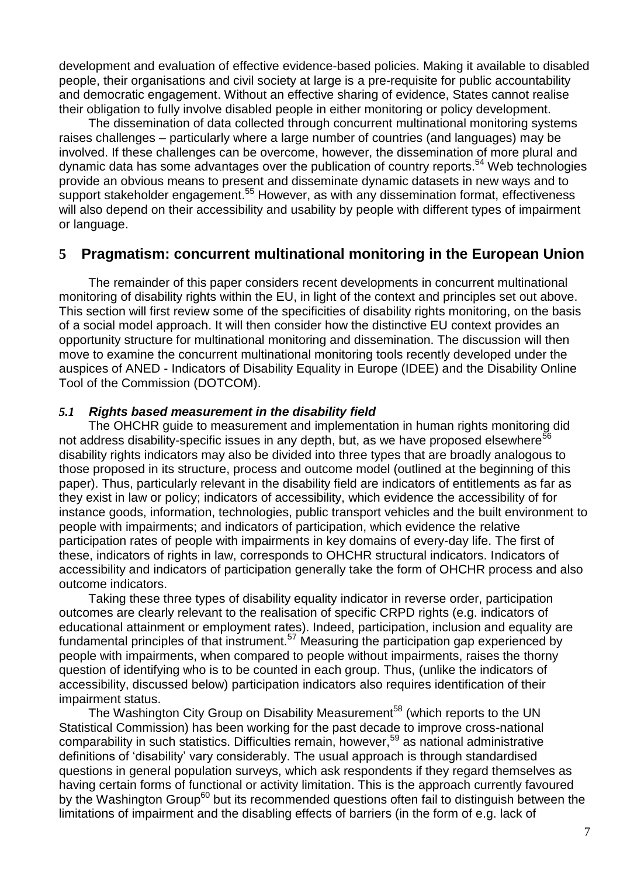development and evaluation of effective evidence-based policies. Making it available to disabled people, their organisations and civil society at large is a pre-requisite for public accountability and democratic engagement. Without an effective sharing of evidence, States cannot realise their obligation to fully involve disabled people in either monitoring or policy development.

The dissemination of data collected through concurrent multinational monitoring systems raises challenges – particularly where a large number of countries (and languages) may be involved. If these challenges can be overcome, however, the dissemination of more plural and dynamic data has some advantages over the publication of country reports.<sup>54</sup> Web technologies provide an obvious means to present and disseminate dynamic datasets in new ways and to support stakeholder engagement.<sup>55</sup> However, as with any dissemination format, effectiveness will also depend on their accessibility and usability by people with different types of impairment or language.

#### **5 Pragmatism: concurrent multinational monitoring in the European Union**

The remainder of this paper considers recent developments in concurrent multinational monitoring of disability rights within the EU, in light of the context and principles set out above. This section will first review some of the specificities of disability rights monitoring, on the basis of a social model approach. It will then consider how the distinctive EU context provides an opportunity structure for multinational monitoring and dissemination. The discussion will then move to examine the concurrent multinational monitoring tools recently developed under the auspices of ANED - Indicators of Disability Equality in Europe (IDEE) and the Disability Online Tool of the Commission (DOTCOM).

#### *5.1 Rights based measurement in the disability field*

The OHCHR guide to measurement and implementation in human rights monitoring did not address disability-specific issues in any depth, but, as we have proposed elsewhere<sup>56</sup> disability rights indicators may also be divided into three types that are broadly analogous to those proposed in its structure, process and outcome model (outlined at the beginning of this paper). Thus, particularly relevant in the disability field are indicators of entitlements as far as they exist in law or policy; indicators of accessibility, which evidence the accessibility of for instance goods, information, technologies, public transport vehicles and the built environment to people with impairments; and indicators of participation, which evidence the relative participation rates of people with impairments in key domains of every-day life. The first of these, indicators of rights in law, corresponds to OHCHR structural indicators. Indicators of accessibility and indicators of participation generally take the form of OHCHR process and also outcome indicators.

Taking these three types of disability equality indicator in reverse order, participation outcomes are clearly relevant to the realisation of specific CRPD rights (e.g. indicators of educational attainment or employment rates). Indeed, participation, inclusion and equality are fundamental principles of that instrument.<sup>57</sup> Measuring the participation gap experienced by people with impairments, when compared to people without impairments, raises the thorny question of identifying who is to be counted in each group. Thus, (unlike the indicators of accessibility, discussed below) participation indicators also requires identification of their impairment status.

The Washington City Group on Disability Measurement<sup>58</sup> (which reports to the UN Statistical Commission) has been working for the past decade to improve cross-national comparability in such statistics. Difficulties remain, however,<sup>59</sup> as national administrative definitions of 'disability' vary considerably. The usual approach is through standardised questions in general population surveys, which ask respondents if they regard themselves as having certain forms of functional or activity limitation. This is the approach currently favoured by the Washington Group<sup>60</sup> but its recommended questions often fail to distinguish between the limitations of impairment and the disabling effects of barriers (in the form of e.g. lack of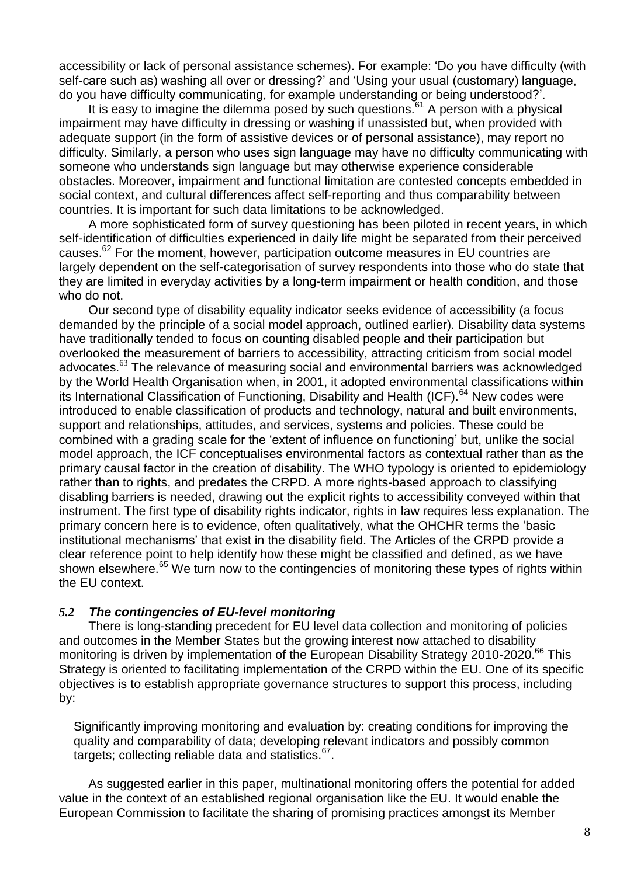accessibility or lack of personal assistance schemes). For example: 'Do you have difficulty (with self-care such as) washing all over or dressing?' and 'Using your usual (customary) language, do you have difficulty communicating, for example understanding or being understood?'.

It is easy to imagine the dilemma posed by such questions.<sup>61</sup> A person with a physical impairment may have difficulty in dressing or washing if unassisted but, when provided with adequate support (in the form of assistive devices or of personal assistance), may report no difficulty. Similarly, a person who uses sign language may have no difficulty communicating with someone who understands sign language but may otherwise experience considerable obstacles. Moreover, impairment and functional limitation are contested concepts embedded in social context, and cultural differences affect self-reporting and thus comparability between countries. It is important for such data limitations to be acknowledged.

A more sophisticated form of survey questioning has been piloted in recent years, in which self-identification of difficulties experienced in daily life might be separated from their perceived causes.<sup>62</sup> For the moment, however, participation outcome measures in EU countries are largely dependent on the self-categorisation of survey respondents into those who do state that they are limited in everyday activities by a long-term impairment or health condition, and those who do not.

Our second type of disability equality indicator seeks evidence of accessibility (a focus demanded by the principle of a social model approach, outlined earlier). Disability data systems have traditionally tended to focus on counting disabled people and their participation but overlooked the measurement of barriers to accessibility, attracting criticism from social model advocates.<sup>63</sup> The relevance of measuring social and environmental barriers was acknowledged by the World Health Organisation when, in 2001, it adopted environmental classifications within its International Classification of Functioning, Disability and Health (ICF), <sup>64</sup> New codes were introduced to enable classification of products and technology, natural and built environments, support and relationships, attitudes, and services, systems and policies. These could be combined with a grading scale for the 'extent of influence on functioning' but, unlike the social model approach, the ICF conceptualises environmental factors as contextual rather than as the primary causal factor in the creation of disability. The WHO typology is oriented to epidemiology rather than to rights, and predates the CRPD. A more rights-based approach to classifying disabling barriers is needed, drawing out the explicit rights to accessibility conveyed within that instrument. The first type of disability rights indicator, rights in law requires less explanation. The primary concern here is to evidence, often qualitatively, what the OHCHR terms the 'basic institutional mechanisms' that exist in the disability field. The Articles of the CRPD provide a clear reference point to help identify how these might be classified and defined, as we have shown elsewhere.<sup>65</sup> We turn now to the contingencies of monitoring these types of rights within the EU context.

#### *5.2 The contingencies of EU-level monitoring*

There is long-standing precedent for EU level data collection and monitoring of policies and outcomes in the Member States but the growing interest now attached to disability monitoring is driven by implementation of the European Disability Strategy 2010-2020.<sup>66</sup> This Strategy is oriented to facilitating implementation of the CRPD within the EU. One of its specific objectives is to establish appropriate governance structures to support this process, including by:

Significantly improving monitoring and evaluation by: creating conditions for improving the quality and comparability of data; developing relevant indicators and possibly common targets; collecting reliable data and statistics.<sup>67</sup>.

As suggested earlier in this paper, multinational monitoring offers the potential for added value in the context of an established regional organisation like the EU. It would enable the European Commission to facilitate the sharing of promising practices amongst its Member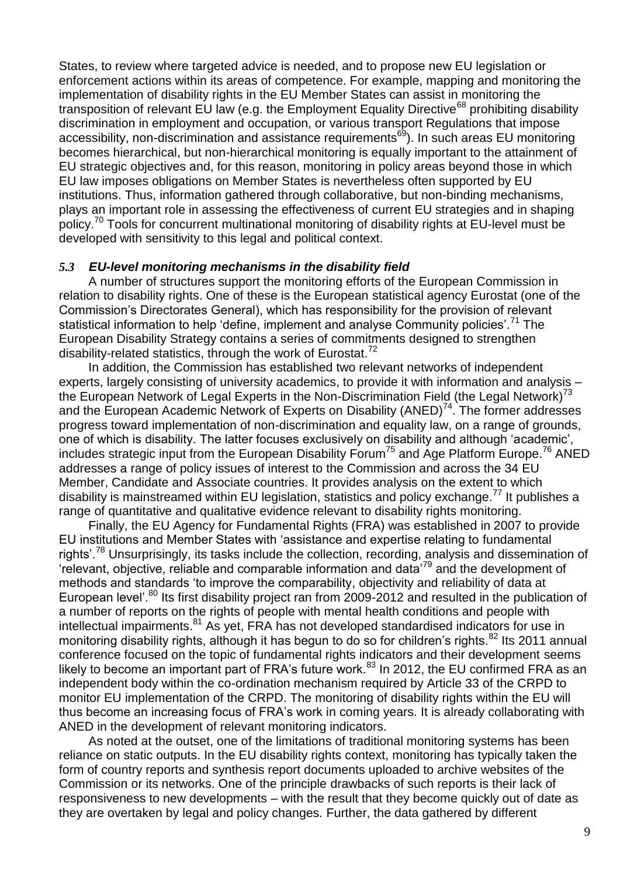States, to review where targeted advice is needed, and to propose new EU legislation or enforcement actions within its areas of competence. For example, mapping and monitoring the implementation of disability rights in the EU Member States can assist in monitoring the transposition of relevant EU law (e.g. the Employment Equality Directive<sup>68</sup> prohibiting disability discrimination in employment and occupation, or various transport Regulations that impose accessibility, non-discrimination and assistance requirements<sup>69</sup>). In such areas EU monitoring becomes hierarchical, but non-hierarchical monitoring is equally important to the attainment of EU strategic objectives and, for this reason, monitoring in policy areas beyond those in which EU law imposes obligations on Member States is nevertheless often supported by EU institutions. Thus, information gathered through collaborative, but non-binding mechanisms, plays an important role in assessing the effectiveness of current EU strategies and in shaping policy.<sup>70</sup> Tools for concurrent multinational monitoring of disability rights at EU-level must be developed with sensitivity to this legal and political context.

#### *5.3 EU-level monitoring mechanisms in the disability field*

A number of structures support the monitoring efforts of the European Commission in relation to disability rights. One of these is the European statistical agency Eurostat (one of the Commission's Directorates General), which has responsibility for the provision of relevant statistical information to help 'define, implement and analyse Community policies'.<sup>71</sup> The European Disability Strategy contains a series of commitments designed to strengthen disability-related statistics, through the work of Eurostat.<sup>72</sup>

In addition, the Commission has established two relevant networks of independent experts, largely consisting of university academics, to provide it with information and analysis – the European Network of Legal Experts in the Non-Discrimination Field (the Legal Network)<sup>73</sup> and the European Academic Network of Experts on Disability (ANED)<sup> $4$ </sup>. The former addresses progress toward implementation of non-discrimination and equality law, on a range of grounds, one of which is disability. The latter focuses exclusively on disability and although 'academic', includes strategic input from the European Disability Forum<sup>75</sup> and Age Platform Europe.<sup>76</sup> ANED addresses a range of policy issues of interest to the Commission and across the 34 EU Member, Candidate and Associate countries. It provides analysis on the extent to which disability is mainstreamed within EU legislation, statistics and policy exchange.<sup>77</sup> It publishes a range of quantitative and qualitative evidence relevant to disability rights monitoring.

Finally, the EU Agency for Fundamental Rights (FRA) was established in 2007 to provide EU institutions and Member States with 'assistance and expertise relating to fundamental rights'.<sup>78</sup> Unsurprisingly, its tasks include the collection, recording, analysis and dissemination of 'relevant, objective, reliable and comparable information and data<sup>'79</sup> and the development of methods and standards 'to improve the comparability, objectivity and reliability of data at European level<sup>'.80</sup> Its first disability project ran from 2009-2012 and resulted in the publication of a number of reports on the rights of people with mental health conditions and people with intellectual impairments.<sup>81</sup> As yet, FRA has not developed standardised indicators for use in monitoring disability rights, although it has begun to do so for children's rights.<sup>82</sup> Its 2011 annual conference focused on the topic of fundamental rights indicators and their development seems likely to become an important part of FRA's future work.<sup>83</sup> In 2012, the EU confirmed FRA as an independent body within the co-ordination mechanism required by Article 33 of the CRPD to monitor EU implementation of the CRPD. The monitoring of disability rights within the EU will thus become an increasing focus of FRA's work in coming years. It is already collaborating with ANED in the development of relevant monitoring indicators.

As noted at the outset, one of the limitations of traditional monitoring systems has been reliance on static outputs. In the EU disability rights context, monitoring has typically taken the form of country reports and synthesis report documents uploaded to archive websites of the Commission or its networks. One of the principle drawbacks of such reports is their lack of responsiveness to new developments – with the result that they become quickly out of date as they are overtaken by legal and policy changes. Further, the data gathered by different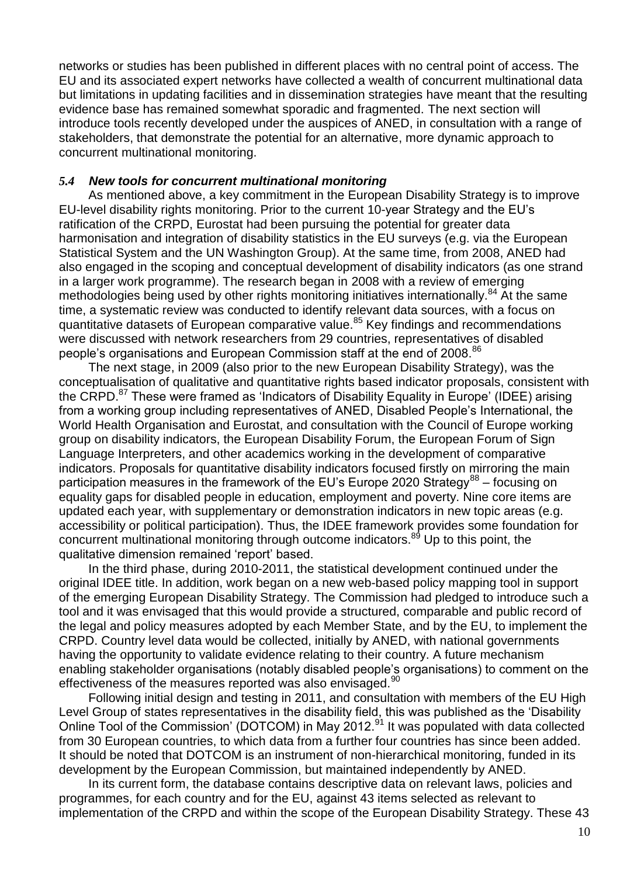networks or studies has been published in different places with no central point of access. The EU and its associated expert networks have collected a wealth of concurrent multinational data but limitations in updating facilities and in dissemination strategies have meant that the resulting evidence base has remained somewhat sporadic and fragmented. The next section will introduce tools recently developed under the auspices of ANED, in consultation with a range of stakeholders, that demonstrate the potential for an alternative, more dynamic approach to concurrent multinational monitoring.

#### *5.4 New tools for concurrent multinational monitoring*

As mentioned above, a key commitment in the European Disability Strategy is to improve EU-level disability rights monitoring. Prior to the current 10-year Strategy and the EU's ratification of the CRPD, Eurostat had been pursuing the potential for greater data harmonisation and integration of disability statistics in the EU surveys (e.g. via the European Statistical System and the UN Washington Group). At the same time, from 2008, ANED had also engaged in the scoping and conceptual development of disability indicators (as one strand in a larger work programme). The research began in 2008 with a review of emerging methodologies being used by other rights monitoring initiatives internationally.<sup>84</sup> At the same time, a systematic review was conducted to identify relevant data sources, with a focus on quantitative datasets of European comparative value.<sup>85</sup> Key findings and recommendations were discussed with network researchers from 29 countries, representatives of disabled people's organisations and European Commission staff at the end of 2008.<sup>86</sup>

The next stage, in 2009 (also prior to the new European Disability Strategy), was the conceptualisation of qualitative and quantitative rights based indicator proposals, consistent with the CRPD.<sup>87</sup> These were framed as 'Indicators of Disability Equality in Europe' (IDEE) arising from a working group including representatives of ANED, Disabled People's International, the World Health Organisation and Eurostat, and consultation with the Council of Europe working group on disability indicators, the European Disability Forum, the European Forum of Sign Language Interpreters, and other academics working in the development of comparative indicators. Proposals for quantitative disability indicators focused firstly on mirroring the main participation measures in the framework of the EU's Europe 2020 Strategy<sup>88</sup> – focusing on equality gaps for disabled people in education, employment and poverty. Nine core items are updated each year, with supplementary or demonstration indicators in new topic areas (e.g. accessibility or political participation). Thus, the IDEE framework provides some foundation for concurrent multinational monitoring through outcome indicators.<sup>89</sup> Up to this point, the qualitative dimension remained 'report' based.

In the third phase, during 2010-2011, the statistical development continued under the original IDEE title. In addition, work began on a new web-based policy mapping tool in support of the emerging European Disability Strategy. The Commission had pledged to introduce such a tool and it was envisaged that this would provide a structured, comparable and public record of the legal and policy measures adopted by each Member State, and by the EU, to implement the CRPD. Country level data would be collected, initially by ANED, with national governments having the opportunity to validate evidence relating to their country. A future mechanism enabling stakeholder organisations (notably disabled people's organisations) to comment on the effectiveness of the measures reported was also envisaged.<sup>90</sup>

Following initial design and testing in 2011, and consultation with members of the EU High Level Group of states representatives in the disability field, this was published as the 'Disability Online Tool of the Commission' (DOTCOM) in May 2012.<sup>91</sup> It was populated with data collected from 30 European countries, to which data from a further four countries has since been added. It should be noted that DOTCOM is an instrument of non-hierarchical monitoring, funded in its development by the European Commission, but maintained independently by ANED.

In its current form, the database contains descriptive data on relevant laws, policies and programmes, for each country and for the EU, against 43 items selected as relevant to implementation of the CRPD and within the scope of the European Disability Strategy. These 43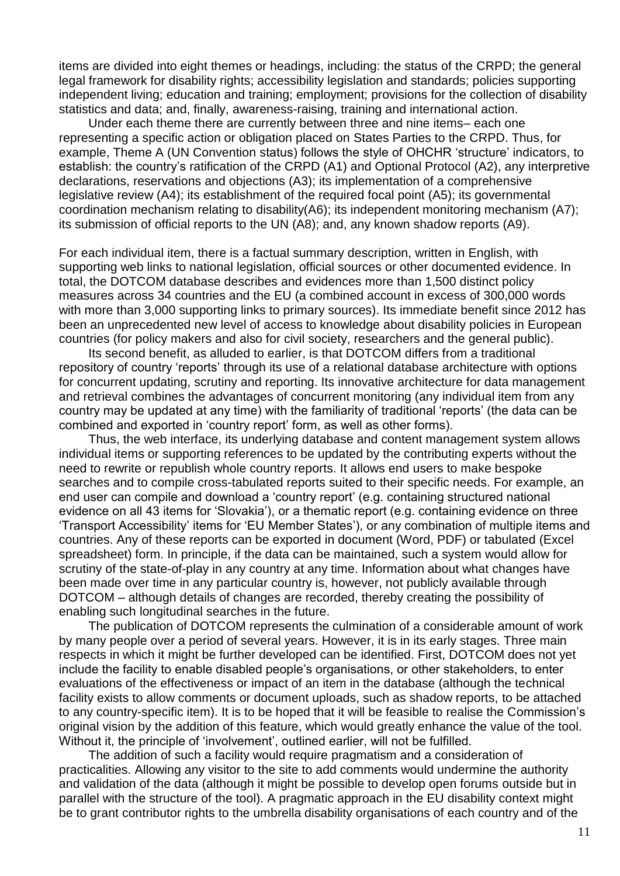items are divided into eight themes or headings, including: the status of the CRPD; the general legal framework for disability rights; accessibility legislation and standards; policies supporting independent living; education and training; employment; provisions for the collection of disability statistics and data; and, finally, awareness-raising, training and international action.

Under each theme there are currently between three and nine items– each one representing a specific action or obligation placed on States Parties to the CRPD. Thus, for example, Theme A (UN Convention status) follows the style of OHCHR 'structure' indicators, to establish: the country's ratification of the CRPD (A1) and Optional Protocol (A2), any interpretive declarations, reservations and objections (A3); its implementation of a comprehensive legislative review (A4); its establishment of the required focal point (A5); its governmental coordination mechanism relating to disability(A6); its independent monitoring mechanism (A7); its submission of official reports to the UN (A8); and, any known shadow reports (A9).

For each individual item, there is a factual summary description, written in English, with supporting web links to national legislation, official sources or other documented evidence. In total, the DOTCOM database describes and evidences more than 1,500 distinct policy measures across 34 countries and the EU (a combined account in excess of 300,000 words with more than 3,000 supporting links to primary sources). Its immediate benefit since 2012 has been an unprecedented new level of access to knowledge about disability policies in European countries (for policy makers and also for civil society, researchers and the general public).

Its second benefit, as alluded to earlier, is that DOTCOM differs from a traditional repository of country 'reports' through its use of a relational database architecture with options for concurrent updating, scrutiny and reporting. Its innovative architecture for data management and retrieval combines the advantages of concurrent monitoring (any individual item from any country may be updated at any time) with the familiarity of traditional 'reports' (the data can be combined and exported in 'country report' form, as well as other forms).

Thus, the web interface, its underlying database and content management system allows individual items or supporting references to be updated by the contributing experts without the need to rewrite or republish whole country reports. It allows end users to make bespoke searches and to compile cross-tabulated reports suited to their specific needs. For example, an end user can compile and download a 'country report' (e.g. containing structured national evidence on all 43 items for 'Slovakia'), or a thematic report (e.g. containing evidence on three 'Transport Accessibility' items for 'EU Member States'), or any combination of multiple items and countries. Any of these reports can be exported in document (Word, PDF) or tabulated (Excel spreadsheet) form. In principle, if the data can be maintained, such a system would allow for scrutiny of the state-of-play in any country at any time. Information about what changes have been made over time in any particular country is, however, not publicly available through DOTCOM – although details of changes are recorded, thereby creating the possibility of enabling such longitudinal searches in the future.

The publication of DOTCOM represents the culmination of a considerable amount of work by many people over a period of several years. However, it is in its early stages. Three main respects in which it might be further developed can be identified. First, DOTCOM does not yet include the facility to enable disabled people's organisations, or other stakeholders, to enter evaluations of the effectiveness or impact of an item in the database (although the technical facility exists to allow comments or document uploads, such as shadow reports, to be attached to any country-specific item). It is to be hoped that it will be feasible to realise the Commission's original vision by the addition of this feature, which would greatly enhance the value of the tool. Without it, the principle of 'involvement', outlined earlier, will not be fulfilled.

The addition of such a facility would require pragmatism and a consideration of practicalities. Allowing any visitor to the site to add comments would undermine the authority and validation of the data (although it might be possible to develop open forums outside but in parallel with the structure of the tool). A pragmatic approach in the EU disability context might be to grant contributor rights to the umbrella disability organisations of each country and of the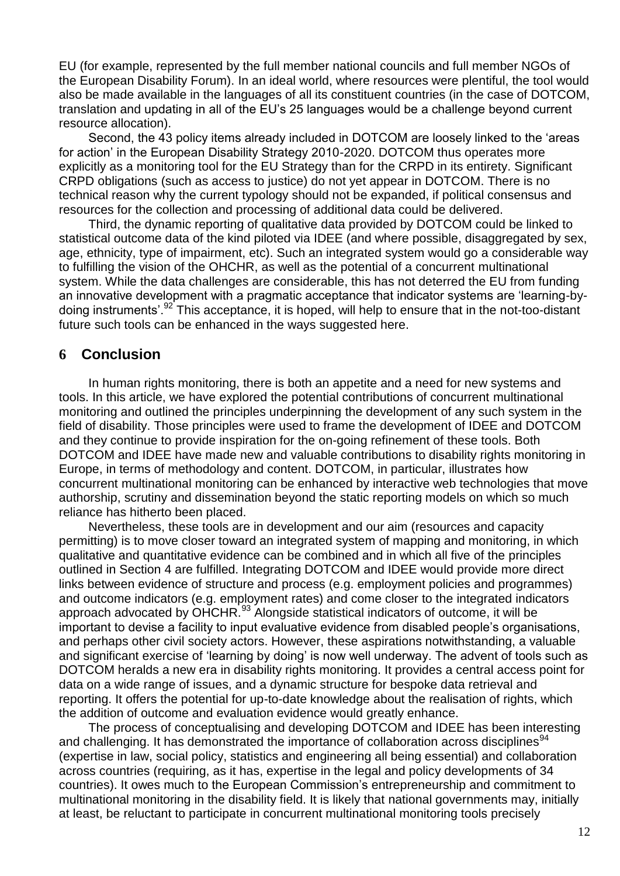EU (for example, represented by the full member national councils and full member NGOs of the European Disability Forum). In an ideal world, where resources were plentiful, the tool would also be made available in the languages of all its constituent countries (in the case of DOTCOM, translation and updating in all of the EU's 25 languages would be a challenge beyond current resource allocation).

Second, the 43 policy items already included in DOTCOM are loosely linked to the 'areas for action' in the European Disability Strategy 2010-2020. DOTCOM thus operates more explicitly as a monitoring tool for the EU Strategy than for the CRPD in its entirety. Significant CRPD obligations (such as access to justice) do not yet appear in DOTCOM. There is no technical reason why the current typology should not be expanded, if political consensus and resources for the collection and processing of additional data could be delivered.

Third, the dynamic reporting of qualitative data provided by DOTCOM could be linked to statistical outcome data of the kind piloted via IDEE (and where possible, disaggregated by sex, age, ethnicity, type of impairment, etc). Such an integrated system would go a considerable way to fulfilling the vision of the OHCHR, as well as the potential of a concurrent multinational system. While the data challenges are considerable, this has not deterred the EU from funding an innovative development with a pragmatic acceptance that indicator systems are 'learning-bydoing instruments'.<sup>92</sup> This acceptance, it is hoped, will help to ensure that in the not-too-distant future such tools can be enhanced in the ways suggested here.

## **6 Conclusion**

In human rights monitoring, there is both an appetite and a need for new systems and tools. In this article, we have explored the potential contributions of concurrent multinational monitoring and outlined the principles underpinning the development of any such system in the field of disability. Those principles were used to frame the development of IDEE and DOTCOM and they continue to provide inspiration for the on-going refinement of these tools. Both DOTCOM and IDEE have made new and valuable contributions to disability rights monitoring in Europe, in terms of methodology and content. DOTCOM, in particular, illustrates how concurrent multinational monitoring can be enhanced by interactive web technologies that move authorship, scrutiny and dissemination beyond the static reporting models on which so much reliance has hitherto been placed.

Nevertheless, these tools are in development and our aim (resources and capacity permitting) is to move closer toward an integrated system of mapping and monitoring, in which qualitative and quantitative evidence can be combined and in which all five of the principles outlined in Section 4 are fulfilled. Integrating DOTCOM and IDEE would provide more direct links between evidence of structure and process (e.g. employment policies and programmes) and outcome indicators (e.g. employment rates) and come closer to the integrated indicators approach advocated by OHCHR.<sup>93</sup> Alongside statistical indicators of outcome, it will be important to devise a facility to input evaluative evidence from disabled people's organisations, and perhaps other civil society actors. However, these aspirations notwithstanding, a valuable and significant exercise of 'learning by doing' is now well underway. The advent of tools such as DOTCOM heralds a new era in disability rights monitoring. It provides a central access point for data on a wide range of issues, and a dynamic structure for bespoke data retrieval and reporting. It offers the potential for up-to-date knowledge about the realisation of rights, which the addition of outcome and evaluation evidence would greatly enhance.

The process of conceptualising and developing DOTCOM and IDEE has been interesting and challenging. It has demonstrated the importance of collaboration across disciplines<sup>94</sup> (expertise in law, social policy, statistics and engineering all being essential) and collaboration across countries (requiring, as it has, expertise in the legal and policy developments of 34 countries). It owes much to the European Commission's entrepreneurship and commitment to multinational monitoring in the disability field. It is likely that national governments may, initially at least, be reluctant to participate in concurrent multinational monitoring tools precisely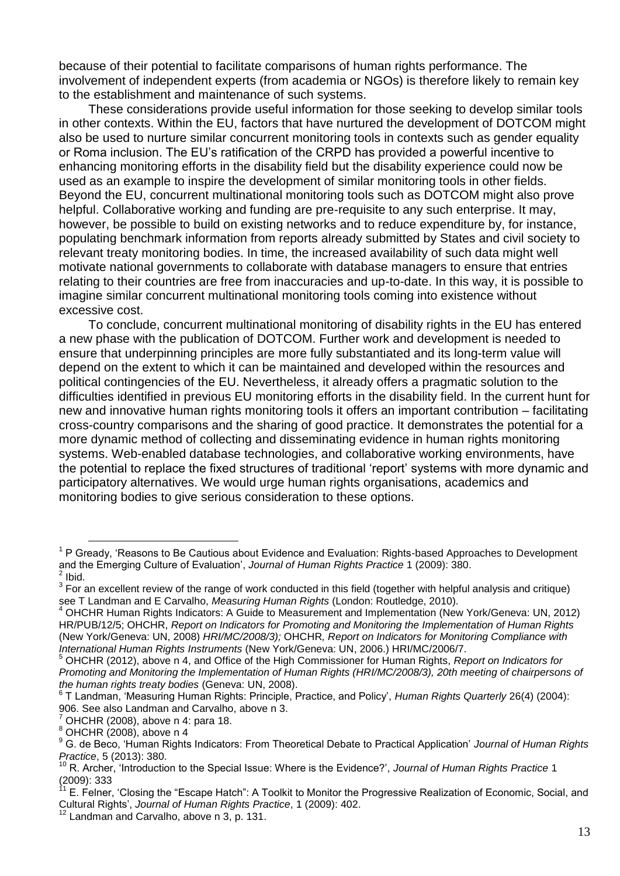because of their potential to facilitate comparisons of human rights performance. The involvement of independent experts (from academia or NGOs) is therefore likely to remain key to the establishment and maintenance of such systems.

These considerations provide useful information for those seeking to develop similar tools in other contexts. Within the EU, factors that have nurtured the development of DOTCOM might also be used to nurture similar concurrent monitoring tools in contexts such as gender equality or Roma inclusion. The EU's ratification of the CRPD has provided a powerful incentive to enhancing monitoring efforts in the disability field but the disability experience could now be used as an example to inspire the development of similar monitoring tools in other fields. Beyond the EU, concurrent multinational monitoring tools such as DOTCOM might also prove helpful. Collaborative working and funding are pre-requisite to any such enterprise. It may, however, be possible to build on existing networks and to reduce expenditure by, for instance, populating benchmark information from reports already submitted by States and civil society to relevant treaty monitoring bodies. In time, the increased availability of such data might well motivate national governments to collaborate with database managers to ensure that entries relating to their countries are free from inaccuracies and up-to-date. In this way, it is possible to imagine similar concurrent multinational monitoring tools coming into existence without excessive cost.

To conclude, concurrent multinational monitoring of disability rights in the EU has entered a new phase with the publication of DOTCOM. Further work and development is needed to ensure that underpinning principles are more fully substantiated and its long-term value will depend on the extent to which it can be maintained and developed within the resources and political contingencies of the EU. Nevertheless, it already offers a pragmatic solution to the difficulties identified in previous EU monitoring efforts in the disability field. In the current hunt for new and innovative human rights monitoring tools it offers an important contribution – facilitating cross-country comparisons and the sharing of good practice. It demonstrates the potential for a more dynamic method of collecting and disseminating evidence in human rights monitoring systems. Web-enabled database technologies, and collaborative working environments, have the potential to replace the fixed structures of traditional 'report' systems with more dynamic and participatory alternatives. We would urge human rights organisations, academics and monitoring bodies to give serious consideration to these options.

l

<sup>&</sup>lt;sup>1</sup> P Gready, 'Reasons to Be Cautious about Evidence and Evaluation: Rights-based Approaches to Development and the Emerging Culture of Evaluation', *Journal of Human Rights Practice* 1 (2009): 380.  $<sup>2</sup>$  Ibid.</sup>

 $3$  For an excellent review of the range of work conducted in this field (together with helpful analysis and critique) see T Landman and E Carvalho, *Measuring Human Rights* (London: Routledge, 2010).

<sup>4</sup> OHCHR Human Rights Indicators: A Guide to Measurement and Implementation (New York/Geneva: UN, 2012) HR/PUB/12/5; OHCHR, *Report on Indicators for Promoting and Monitoring the Implementation of Human Rights*  (New York/Geneva: UN, 2008) *HRI/MC/2008/3);* OHCHR*, Report on Indicators for Monitoring Compliance with International Human Rights Instruments* (New York/Geneva: UN, 2006.) HRI/MC/2006/7.

<sup>5</sup> OHCHR (2012), above n 4, and Office of the High Commissioner for Human Rights, *Report on Indicators for Promoting and Monitoring the Implementation of Human Rights (HRI/MC/2008/3), 20th meeting of chairpersons of the human rights treaty bodies* (Geneva: UN, 2008).

<sup>6</sup> T Landman, 'Measuring Human Rights: Principle, Practice, and Policy', *Human Rights Quarterly* 26(4) (2004): 906. See also Landman and Carvalho, above n 3.

<sup>7</sup> OHCHR (2008), above n 4: para 18.

 $8$  OHCHR (2008), above n 4

<sup>9</sup> G. de Beco, 'Human Rights Indicators: From Theoretical Debate to Practical Application' *Journal of Human Rights Practice*, 5 (2013): 380.

<sup>10</sup> R. Archer, 'Introduction to the Special Issue: Where is the Evidence?', *Journal of Human Rights Practice* 1 (2009): 333

<sup>11</sup> E. Felner, 'Closing the "Escape Hatch": A Toolkit to Monitor the Progressive Realization of Economic, Social, and Cultural Rights', *Journal of Human Rights Practice*, 1 (2009): 402.

Landman and Carvalho, above n 3, p. 131.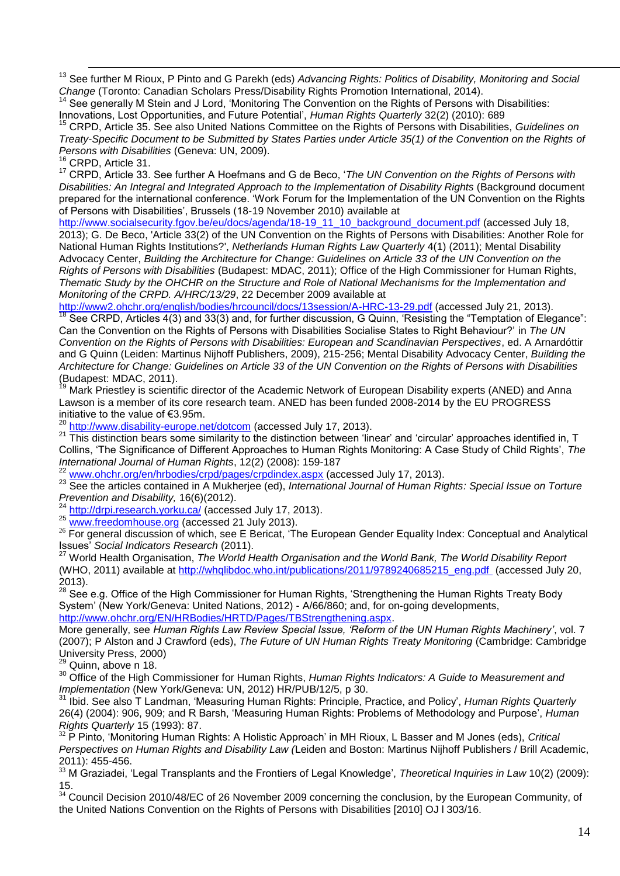-<sup>13</sup> See further M Rioux, P Pinto and G Parekh (eds) *Advancing Rights: Politics of Disability, Monitoring and Social Change* (Toronto: Canadian Scholars Press/Disability Rights Promotion International, 2014).

<sup>14</sup> See generally M Stein and J Lord, 'Monitoring The Convention on the Rights of Persons with Disabilities: Innovations, Lost Opportunities, and Future Potential', *Human Rights Quarterly* 32(2) (2010): 689

<sup>15</sup> CRPD, Article 35. See also United Nations Committee on the Rights of Persons with Disabilities, *Guidelines on Treaty-Specific Document to be Submitted by States Parties under Article 35(1) of the Convention on the Rights of Persons with Disabilities* (Geneva: UN, 2009).

<sup>16</sup> CRPD, Article 31.

<sup>17</sup> CRPD, Article 33. See further A Hoefmans and G de Beco, '*The UN Convention on the Rights of Persons with Disabilities: An Integral and Integrated Approach to the Implementation of Disability Rights* (Background document prepared for the international conference. 'Work Forum for the Implementation of the UN Convention on the Rights of Persons with Disabilities', Brussels (18-19 November 2010) available at

[http://www.socialsecurity.fgov.be/eu/docs/agenda/18-19\\_11\\_10\\_background\\_document.pdf](http://www.socialsecurity.fgov.be/eu/docs/agenda/18-19_11_10_background_document.pdf) (accessed July 18, 2013); G. De Beco, ['Article 33\(2\) of the UN Convention on the Rights of Persons with Disabilities: Another Role for](http://www.nqhr.net/table_of_content.aspx?sy=2011&pn=1)  [National Human Rights Institutions?',](http://www.nqhr.net/table_of_content.aspx?sy=2011&pn=1) *Netherlands Human Rights Law Quarterly* 4(1) (2011); Mental Disability Advocacy Center, *Building the Architecture for Change: Guidelines on Article 33 of the UN Convention on the Rights of Persons with Disabilities* (Budapest: MDAC, 2011); Office of the High Commissioner for Human Rights, *Thematic Study by the OHCHR on the Structure and Role of National Mechanisms for the Implementation and Monitoring of the CRPD. A/HRC/13/29*, 22 December 2009 available at

<http://www2.ohchr.org/english/bodies/hrcouncil/docs/13session/A-HRC-13-29.pdf> (accessed July 21, 2013).

See CRPD, Articles 4(3) and 33(3) and, for further discussion, G Quinn, 'Resisting the "Temptation of Elegance": Can the Convention on the Rights of Persons with Disabilities Socialise States to Right Behaviour?' in *The UN Convention on the Rights of Persons with Disabilities: European and Scandinavian Perspectives*, ed. A Arnardóttir and G Quinn (Leiden: Martinus Nijhoff Publishers, 2009), 215-256; Mental Disability Advocacy Center, *Building the Architecture for Change: Guidelines on Article 33 of the UN Convention on the Rights of Persons with Disabilities* (Budapest: MDAC, 2011).

Mark Priestley is scientific director of the Academic Network of European Disability experts (ANED) and Anna Lawson is a member of its core research team. ANED has been funded 2008-2014 by the EU PROGRESS initiative to the value of €3.95m.

<http://www.disability-europe.net/dotcom> (accessed July 17, 2013).

<sup>21</sup> This distinction bears some similarity to the distinction between 'linear' and 'circular' approaches identified in, T Collins, 'The Significance of Different Approaches to Human Rights Monitoring: A Case Study of Child Rights', *The International Journal of Human Rights*, 12(2) (2008): 159-187

<sup>22</sup> [www.ohchr.org/en/hrbodies/crpd/pages/crpdindex.aspx](http://www.ohchr.org/en/hrbodies/crpd/pages/crpdindex.aspx) (accessed July 17, 2013).

<sup>23</sup> See the articles contained in A Mukherjee (ed), *International Journal of Human Rights: Special Issue on Torture Prevention and Disability,* 16(6)(2012).

<sup>24</sup> <http://drpi.research.yorku.ca/> (accessed July 17, 2013).

25 [www.freedomhouse.org](http://www.freedomhouse.org/) (accessed 21 July 2013).

<sup>26</sup> For general discussion of which, see E Bericat, 'The European Gender Equality Index: Conceptual and Analytical Issues' *Social Indicators Research* (2011).

<sup>27</sup> World Health Organisation, *The World Health Organisation and the World Bank, The World Disability Report* (WHO, 2011) available at [http://whqlibdoc.who.int/publications/2011/9789240685215\\_eng.pdf](http://whqlibdoc.who.int/publications/2011/9789240685215_eng.pdf) (accessed July 20, 2013).

<sup>28</sup> See e.g. Office of the High Commissioner for Human Rights, 'Strengthening the Human Rights Treaty Body System' (New York/Geneva: United Nations, 2012) - A/66/860; and, for on-going developments, [http://www.ohchr.org/EN/HRBodies/HRTD/Pages/TBStrengthening.aspx.](http://www.ohchr.org/EN/HRBodies/HRTD/Pages/TBStrengthening.aspx)

More generally, see *Human Rights Law Review Special Issue, 'Reform of the UN Human Rights Machinery'*, vol. 7 (2007); P Alston and J Crawford (eds), *The Future of UN Human Rights Treaty Monitoring* (Cambridge: Cambridge University Press, 2000)

Quinn, above n 18.

<sup>30</sup> Office of the High Commissioner for Human Rights, *Human Rights Indicators: A Guide to Measurement and Implementation* (New York/Geneva: UN, 2012) HR/PUB/12/5, p 30.

<sup>31</sup> Ibid. See also T Landman, 'Measuring Human Rights: Principle, Practice, and Policy', *Human Rights Quarterly* 26(4) (2004): 906, 909; and R Barsh, 'Measuring Human Rights: Problems of Methodology and Purpose', *Human Rights Quarterly* 15 (1993): 87.

<sup>32</sup> P Pinto, 'Monitoring Human Rights: A Holistic Approach' in MH Rioux, L Basser and M Jones (eds), *Critical Perspectives on Human Rights and Disability Law (*Leiden and Boston: Martinus Nijhoff Publishers / Brill Academic, 2011): 455-456.

<sup>33</sup> M Graziadei, 'Legal Transplants and the Frontiers of Legal Knowledge', *Theoretical Inquiries in Law* 10(2) (2009): 15.

<sup>34</sup> Council Decision 2010/48/EC of 26 November 2009 concerning the conclusion, by the European Community, of the United Nations Convention on the Rights of Persons with Disabilities [2010] OJ l 303/16.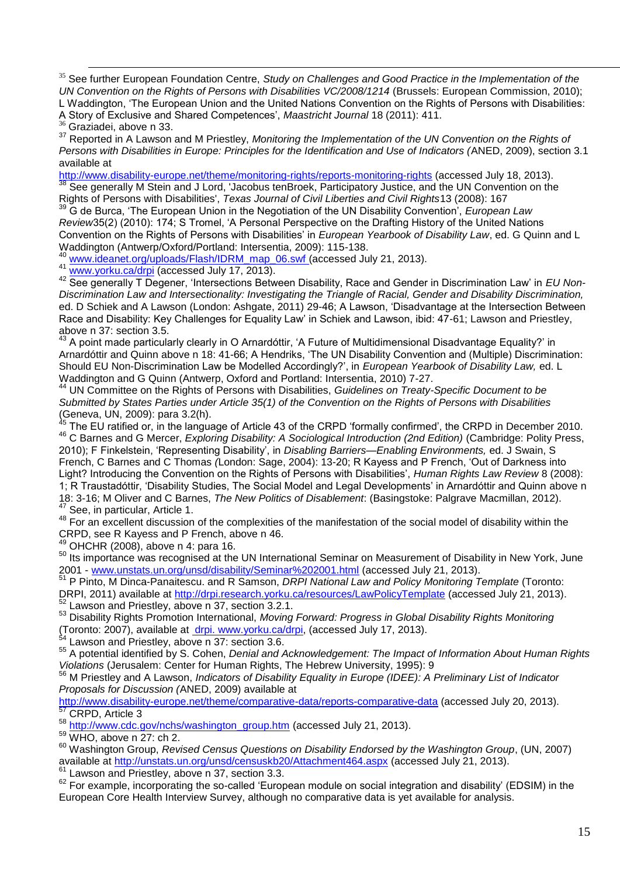-<sup>35</sup> See further European Foundation Centre, *Study on Challenges and Good Practice in the Implementation of the UN Convention on the Rights of Persons with Disabilities VC/2008/1214* (Brussels: European Commission, 2010); L Waddington, 'The European Union and the United Nations Convention on the Rights of Persons with Disabilities: A Story of Exclusive and Shared Competences', *Maastricht Journal* 18 (2011): 411.

<sup>36</sup> Graziadei, above n 33.

<sup>37</sup> Reported in A Lawson and M Priestley, *Monitoring the Implementation of the UN Convention on the Rights of Persons with Disabilities in Europe: Principles for the Identification and Use of Indicators (*ANED, 2009), section 3.1 available at

<http://www.disability-europe.net/theme/monitoring-rights/reports-monitoring-rights> (accessed July 18, 2013).

38 See generally M Stein and J Lord, 'Jacobus tenBroek, Participatory Justice, and the UN Convention on the Rights of Persons with Disabilities', *Texas Journal of Civil Liberties and Civil Rights*13 (2008): 167

<sup>39</sup> G de Burca, 'The European Union in the Negotiation of the UN Disability Convention', *European Law Review*35(2) (2010): 174; S Tromel, 'A Personal Perspective on the Drafting History of the United Nations Convention on the Rights of Persons with Disabilities' in *European Yearbook of Disability Law*, ed. G Quinn and L Waddington (Antwerp/Oxford/Portland: Intersentia, 2009): 115-138.

<sup>40</sup> [www.ideanet.org/uploads/Flash/IDRM\\_map\\_06.swf \(](http://www.ideanet.org/uploads/Flash/IDRM_map_06.swf)accessed July 21, 2013).

[www.yorku.ca/drpi](http://www.yorku.ca/drpi) (accessed July 17, 2013).

<sup>42</sup> See generally T Degener, 'Intersections Between Disability, Race and Gender in Discrimination Law' in *EU Non-Discrimination Law and Intersectionality: Investigating the Triangle of Racial, Gender and Disability Discrimination,* ed. D Schiek and A Lawson (London: Ashgate, 2011) 29-46; A Lawson, 'Disadvantage at the Intersection Between Race and Disability: Key Challenges for Equality Law' in Schiek and Lawson, ibid: 47-61; Lawson and Priestley, above n 37: section 3.5.

<sup>43</sup> A point made particularly clearly in O Arnardóttir, 'A Future of Multidimensional Disadvantage Equality?' in Arnardóttir and Quinn above n 18: 41-66; A Hendriks, 'The UN Disability Convention and (Multiple) Discrimination: Should EU Non-Discrimination Law be Modelled Accordingly?', in *European Yearbook of Disability Law,* ed. L Waddington and G Quinn (Antwerp, Oxford and Portland: Intersentia, 2010) 7-27.

<sup>44</sup> UN Committee on the Rights of Persons with Disabilities, *Guidelines on Treaty-Specific Document to be Submitted by States Parties under Article 35(1) of the Convention on the Rights of Persons with Disabilities* (Geneva, UN, 2009): para 3.2(h).

 $45$  The EU ratified or, in the language of Article 43 of the CRPD 'formally confirmed', the CRPD in December 2010. <sup>46</sup> C Barnes and G Mercer, *Exploring Disability: A Sociological Introduction (2nd Edition)* (Cambridge: Polity Press, 2010); F Finkelstein, 'Representing Disability', in *Disabling Barriers—Enabling Environments,* ed. J Swain, S French, C Barnes and C Thomas *(*London: Sage, 2004): 13-20; R Kayess and P French, 'Out of Darkness into Light? Introducing the Convention on the Rights of Persons with Disabilities', *Human Rights Law Review* 8 (2008): 1; R Traustadóttir, 'Disability Studies, The Social Model and Legal Developments' in Arnardóttir and Quinn above n 18: 3-16; M Oliver and C Barnes, *The New Politics of Disablement*: (Basingstoke: Palgrave Macmillan, 2012). See, in particular, Article 1.

48 For an excellent discussion of the complexities of the manifestation of the social model of disability within the CRPD, see R Kayess and P French, above n 46.

 $49$  OHCHR (2008), above n 4: para 16.

<sup>50</sup> Its importance was recognised at the UN International Seminar on Measurement of Disability in New York, June 2001 - [www.unstats.un.org/unsd/disability/Seminar%202001.html](http://unstats.un.org/unsd/disability/Seminar%202001.html) (accessed July 21, 2013).

<sup>51</sup> P Pinto, M Dinca-Panaitescu. and R Samson, *DRPI National Law and Policy Monitoring Template* (Toronto:

DRPI, 2011) available at<http://drpi.research.yorku.ca/resources/LawPolicyTemplate> (accessed July 21, 2013). <sup>52</sup> Lawson and Priestley, above n 37, section 3.2.1.

<sup>53</sup> Disability Rights Promotion International, *Moving Forward: Progress in Global Disability Rights Monitoring* (Toronto: 2007), available at <u>drpi. www.yorku.ca/drpi</u>, (accessed July 17, 2013).

Lawson and Priestley, above n 37: section 3.6.

<sup>55</sup> A potential identified by S. Cohen, *Denial and Acknowledgement: The Impact of Information About Human Rights Violations* (Jerusalem: Center for Human Rights, The Hebrew University, 1995): 9

<sup>56</sup> M Priestley and A Lawson, *Indicators of Disability Equality in Europe (IDEE): A Preliminary List of Indicator Proposals for Discussion (*ANED, 2009) available at

<http://www.disability-europe.net/theme/comparative-data/reports-comparative-data> (accessed July 20, 2013). CRPD, Article 3

58 [http://www.cdc.gov/nchs/washington\\_group.htm](http://www.cdc.gov/nchs/washington_group.htm) (accessed July 21, 2013).

<sup>59</sup> WHO, above n 27: ch 2.

<sup>60</sup> Washington Group, *Revised Census Questions on Disability Endorsed by the Washington Group*, (UN, 2007) available at<http://unstats.un.org/unsd/censuskb20/Attachment464.aspx> (accessed July 21, 2013).

Lawson and Priestley, above n 37, section 3.3.

 $62$  For example, incorporating the so-called 'European module on social integration and disability' (EDSIM) in the European Core Health Interview Survey, although no comparative data is yet available for analysis.